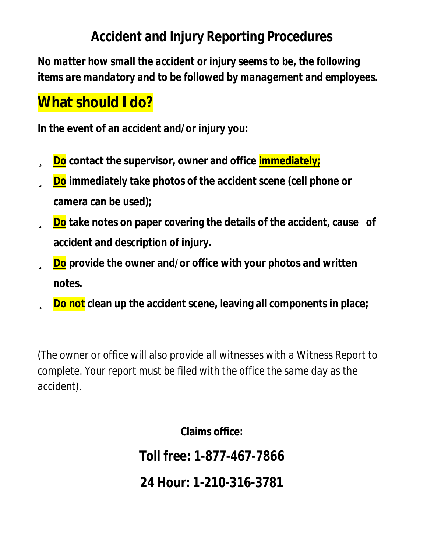## **Accident and Injury Reporting Procedures**

*No matter how small the accident or injury seems to be, the following items are mandatory and to be followed by management and employees.* 

## **What should I do?**

**In the event of an accident and/or injury you:** 

- ü **Do contact the supervisor, owner and office immediately;**
- ü **Do immediately take photos of the accident scene (cell phone or camera can be used);**
- ü **Do take notes on paper covering the details of the accident, cause of accident and description of injury.**
- ü **Do provide the owner and/or office with your photos and written notes.**
- ü **Do not clean up the accident scene, leaving all components in place;**

(*The owner or office will also provide all witnesses with a Witness Report to complete. Your report must be filed with the office the same day as the accident).* 

**Claims office:** 

*Toll free: 1-877-467-7866* 

*24 Hour: 1-210-316-3781*